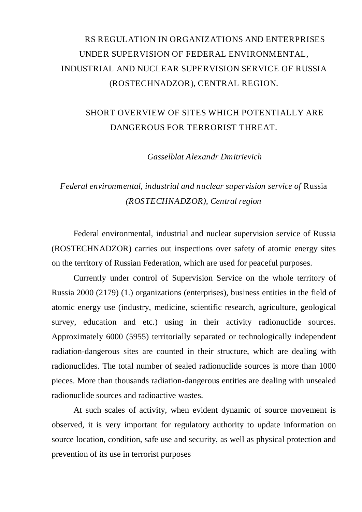## RS REGULATION IN ORGANIZATIONS AND ENTERPRISES UNDER SUPERVISION OF FEDERAL ENVIRONMENTAL, INDUSTRIAL AND NUCLEAR SUPERVISION SERVICE OF RUSSIA (ROSTECHNADZOR), CENTRAL REGION.

## SHORT OVERVIEW OF SITES WHICH POTENTIALLY ARE DANGEROUS FOR TERRORIST THREAT.

*Gasselblat Alexandr Dmitrievich* 

## *Federal environmental, industrial and nuclear supervision service of* Russia *(ROSTECHNADZOR), Central region*

Federal environmental, industrial and nuclear supervision service of Russia (ROSTECHNADZOR) carries out inspections over safety of atomic energy sites on the territory of Russian Federation, which are used for peaceful purposes.

Currently under control of Supervision Service on the whole territory of Russia 2000 (2179) (1.) organizations (enterprises), business entities in the field of atomic energy use (industry, medicine, scientific research, agriculture, geological survey, education and etc.) using in their activity radionuclide sources. Approximately 6000 (5955) territorially separated or technologically independent radiation-dangerous sites are counted in their structure, which are dealing with radionuclides. The total number of sealed radionuclide sources is more than 1000 pieces. More than thousands radiation-dangerous entities are dealing with unsealed radionuclide sources and radioactive wastes.

At such scales of activity, when evident dynamic of source movement is observed, it is very important for regulatory authority to update information on source location, condition, safe use and security, as well as physical protection and prevention of its use in terrorist purposes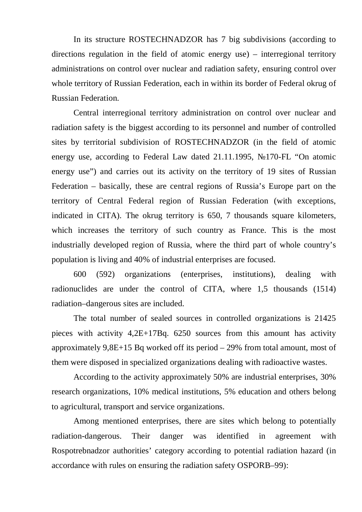In its structure ROSTECHNADZOR has 7 big subdivisions (according to directions regulation in the field of atomic energy use) – interregional territory administrations on control over nuclear and radiation safety, ensuring control over whole territory of Russian Federation, each in within its border of Federal okrug of Russian Federation.

Central interregional territory administration on control over nuclear and radiation safety is the biggest according to its personnel and number of controlled sites by territorial subdivision of ROSTECHNADZOR (in the field of atomic energy use, according to Federal Law dated 21.11.1995, 170-FL "On atomic energy use") and carries out its activity on the territory of 19 sites of Russian Federation – basically, these are central regions of Russia's Europe part on the territory of Central Federal region of Russian Federation (with exceptions, indicated in CITA). The okrug territory is 650, 7 thousands square kilometers, which increases the territory of such country as France. This is the most industrially developed region of Russia, where the third part of whole country's population is living and 40% of industrial enterprises are focused.

600 (592) organizations (enterprises, institutions), dealing with radionuclides are under the control of CITA, where 1,5 thousands (1514) radiation–dangerous sites are included.

The total number of sealed sources in controlled organizations is 21425 pieces with activity 4,2E+17Bq. 6250 sources from this amount has activity approximately 9,8E+15 Bq worked off its period – 29% from total amount, most of them were disposed in specialized organizations dealing with radioactive wastes.

According to the activity approximately 50% are industrial enterprises, 30% research organizations, 10% medical institutions, 5% education and others belong to agricultural, transport and service organizations.

Among mentioned enterprises, there are sites which belong to potentially radiation-dangerous. Their danger was identified in agreement with Rospotrebnadzor authorities' category according to potential radiation hazard (in accordance with rules on ensuring the radiation safety OSPORB–99):